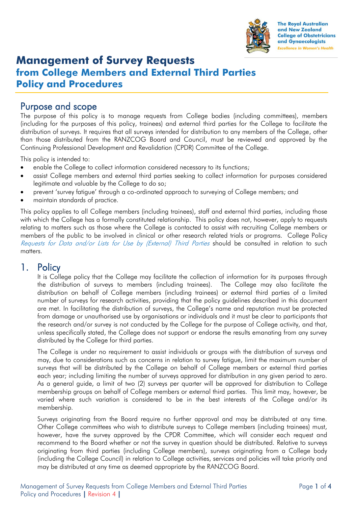

**The Royal Australian** and New Zealand **College of Obstetricians** and Gynaecologists **Excellence in Women's Health** 

# **Management of Survey Requests from College Members and External Third Parties Policy and Procedures**

### Purpose and scope

The purpose of this policy is to manage requests from College bodies (including committees), members (including for the purposes of this policy, trainees) and external third parties for the College to facilitate the distribution of surveys. It requires that all surveys intended for distribution to any members of the College, other than those distributed from the RANZCOG Board and Council, must be reviewed and approved by the Continuing Professional Development and Revalidation (CPDR) Committee of the College.

This policy is intended to:

- enable the College to collect information considered necessary to its functions;
- assist College members and external third parties seeking to collect information for purposes considered legitimate and valuable by the College to do so;
- prevent 'survey fatigue' through a co-ordinated approach to surveying of College members; and
- maintain standards of practice.

This policy applies to all College members (including trainees), staff and external third parties, including those with which the College has a formally constituted relationship. This policy does not, however, apply to requests relating to matters such as those where the College is contacted to assist with recruiting College members or members of the public to be involved in clinical or other research related trials or programs. College Policy Requests for Data and/or Lists for Use by (External) Third Parties should be consulted in relation to such matters

### 1. Policy

It is College policy that the College may facilitate the collection of information for its purposes through the distribution of surveys to members (including trainees). The College may also facilitate the distribution on behalf of College members (including trainees) or external third parties of a limited number of surveys for research activities, providing that the policy guidelines described in this document are met. In facilitating the distribution of surveys, the College's name and reputation must be protected from damage or unauthorised use by organisations or individuals and it must be clear to participants that the research and/or survey is not conducted by the College for the purpose of College activity, and that, unless specifically stated, the College does not support or endorse the results emanating from any survey distributed by the College for third parties.

The College is under no requirement to assist individuals or groups with the distribution of surveys and may, due to considerations such as concerns in relation to survey fatigue, limit the maximum number of surveys that will be distributed by the College on behalf of College members or external third parties each year; including limiting the number of surveys approved for distribution in any given period to zero. As a general guide, a limit of two (2) surveys per quarter will be approved for distribution to College membership groups on behalf of College members or external third parties. This limit may, however, be varied where such variation is considered to be in the best interests of the College and/or its membership.

Surveys originating from the Board require no further approval and may be distributed at any time. Other College committees who wish to distribute surveys to College members (including trainees) must, however, have the survey approved by the CPDR Committee, which will consider each request and recommend to the Board whether or not the survey in question should be distributed. Relative to surveys originating from third parties (including College members), surveys originating from a College body (including the College Council) in relation to College activities, services and policies will take priority and may be distributed at any time as deemed appropriate by the RANZCOG Board.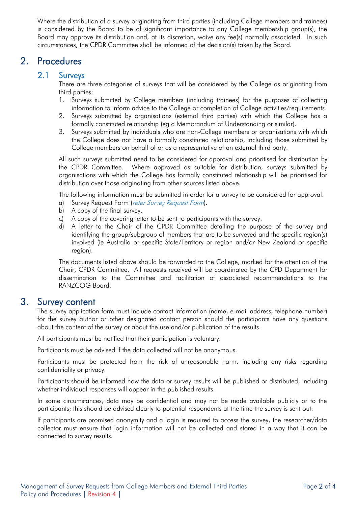Where the distribution of a survey originating from third parties (including College members and trainees) is considered by the Board to be of significant importance to any College membership group(s), the Board may approve its distribution and, at its discretion, waive any fee(s) normally associated. In such circumstances, the CPDR Committee shall be informed of the decision(s) taken by the Board.

# 2. Procedures

### 2.1 Surveys

There are three categories of surveys that will be considered by the College as originating from third parties:

- 1. Surveys submitted by College members (including trainees) for the purposes of collecting information to inform advice to the College or completion of College activities/requirements.
- 2. Surveys submitted by organisations (external third parties) with which the College has a formally constituted relationship (eg a Memorandum of Understanding or similar).
- 3. Surveys submitted by individuals who are non-College members or organisations with which the College does not have a formally constituted relationship, including those submitted by College members on behalf of or as a representative of an external third party.

All such surveys submitted need to be considered for approval and prioritised for distribution by the CPDR Committee. Where approved as suitable for distribution, surveys submitted by organisations with which the College has formally constituted relationship will be prioritised for distribution over those originating from other sources listed above.

The following information must be submitted in order for a survey to be considered for approval.

- a) Survey Request Form (refer Survey Request Form).
- b) A copy of the final survey.
- c) A copy of the covering letter to be sent to participants with the survey.
- d) A letter to the Chair of the CPDR Committee detailing the purpose of the survey and identifying the group/subgroup of members that are to be surveyed and the specific region(s) involved (ie Australia or specific State/Territory or region and/or New Zealand or specific region).

The documents listed above should be forwarded to the College, marked for the attention of the Chair, CPDR Committee. All requests received will be coordinated by the CPD Department for dissemination to the Committee and facilitation of associated recommendations to the RANZCOG Board.

### 3. Survey content

The survey application form must include contact information (name, e-mail address, telephone number) for the survey author or other designated contact person should the participants have any questions about the content of the survey or about the use and/or publication of the results.

All participants must be notified that their participation is voluntary.

Participants must be advised if the data collected will not be anonymous.

Participants must be protected from the risk of unreasonable harm, including any risks regarding confidentiality or privacy.

Participants should be informed how the data or survey results will be published or distributed, including whether individual responses will appear in the published results.

In some circumstances, data may be confidential and may not be made available publicly or to the participants; this should be advised clearly to potential respondents at the time the survey is sent out.

If participants are promised anonymity and a login is required to access the survey, the researcher/data collector must ensure that login information will not be collected and stored in a way that it can be connected to survey results.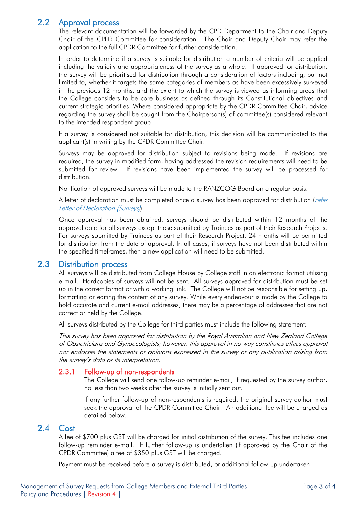### 2.2 Approval process

The relevant documentation will be forwarded by the CPD Department to the Chair and Deputy Chair of the CPDR Committee for consideration. The Chair and Deputy Chair may refer the application to the full CPDR Committee for further consideration.

In order to determine if a survey is suitable for distribution a number of criteria will be applied including the validity and appropriateness of the survey as a whole. If approved for distribution, the survey will be prioritised for distribution through a consideration of factors including, but not limited to, whether it targets the same categories of members as have been excessively surveyed in the previous 12 months, and the extent to which the survey is viewed as informing areas that the College considers to be core business as defined through its Constitutional objectives and current strategic priorities. Where considered appropriate by the CPDR Committee Chair, advice regarding the survey shall be sought from the Chairperson(s) of committee(s) considered relevant to the intended respondent group

If a survey is considered not suitable for distribution, this decision will be communicated to the applicant(s) in writing by the CPDR Committee Chair.

Surveys may be approved for distribution subject to revisions being made. If revisions are required, the survey in modified form, having addressed the revision requirements will need to be submitted for review. If revisions have been implemented the survey will be processed for distribution.

Notification of approved surveys will be made to the RANZCOG Board on a regular basis.

A letter of declaration must be completed once a survey has been approved for distribution (refer Letter of Declaration (Surveys)

Once approval has been obtained, surveys should be distributed within 12 months of the approval date for all surveys except those submitted by Trainees as part of their Research Projects. For surveys submitted by Trainees as part of their Research Project, 24 months will be permitted for distribution from the date of approval. In all cases, if surveys have not been distributed within the specified timeframes, then a new application will need to be submitted.

#### 2.3 Distribution process

All surveys will be distributed from College House by College staff in an electronic format utilising e-mail. Hardcopies of surveys will not be sent. All surveys approved for distribution must be set up in the correct format or with a working link. The College will not be responsible for setting up, formatting or editing the content of any survey. While every endeavour is made by the College to hold accurate and current e-mail addresses, there may be a percentage of addresses that are not correct or held by the College.

All surveys distributed by the College for third parties must include the following statement:

This survey has been approved for distribution by the Royal Australian and New Zealand College of Obstetricians and Gynaecologists; however, this approval in no way constitutes ethics approval nor endorses the statements or opinions expressed in the survey or any publication arising from the survey's data or its interpretation.

#### 2.3.1 Follow-up of non-respondents

The College will send one follow-up reminder e-mail, if requested by the survey author, no less than two weeks after the survey is initially sent out.

If any further follow-up of non-respondents is required, the original survey author must seek the approval of the CPDR Committee Chair. An additional fee will be charged as detailed below.

#### 2.4 Cost

A fee of \$700 plus GST will be charged for initial distribution of the survey. This fee includes one follow-up reminder e-mail. If further follow-up is undertaken (if approved by the Chair of the CPDR Committee) a fee of \$350 plus GST will be charged.

Payment must be received before a survey is distributed, or additional follow-up undertaken.